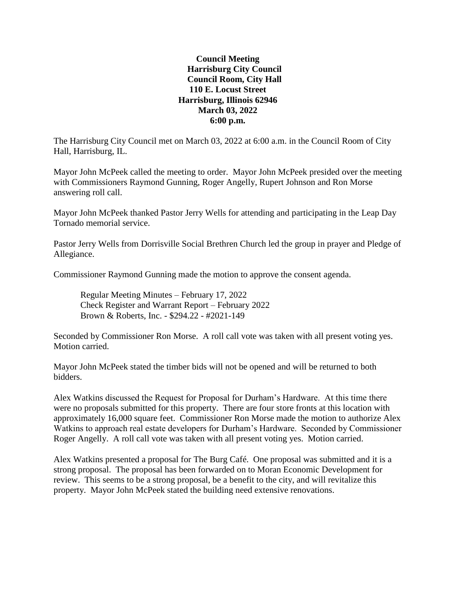## **Council Meeting Harrisburg City Council Council Room, City Hall 110 E. Locust Street Harrisburg, Illinois 62946 March 03, 2022 6:00 p.m.**

The Harrisburg City Council met on March 03, 2022 at 6:00 a.m. in the Council Room of City Hall, Harrisburg, IL.

Mayor John McPeek called the meeting to order. Mayor John McPeek presided over the meeting with Commissioners Raymond Gunning, Roger Angelly, Rupert Johnson and Ron Morse answering roll call.

Mayor John McPeek thanked Pastor Jerry Wells for attending and participating in the Leap Day Tornado memorial service.

Pastor Jerry Wells from Dorrisville Social Brethren Church led the group in prayer and Pledge of Allegiance.

Commissioner Raymond Gunning made the motion to approve the consent agenda.

Regular Meeting Minutes – February 17, 2022 Check Register and Warrant Report – February 2022 Brown & Roberts, Inc. - \$294.22 - #2021-149

Seconded by Commissioner Ron Morse. A roll call vote was taken with all present voting yes. Motion carried.

Mayor John McPeek stated the timber bids will not be opened and will be returned to both bidders.

Alex Watkins discussed the Request for Proposal for Durham's Hardware. At this time there were no proposals submitted for this property. There are four store fronts at this location with approximately 16,000 square feet. Commissioner Ron Morse made the motion to authorize Alex Watkins to approach real estate developers for Durham's Hardware. Seconded by Commissioner Roger Angelly. A roll call vote was taken with all present voting yes. Motion carried.

Alex Watkins presented a proposal for The Burg Café. One proposal was submitted and it is a strong proposal. The proposal has been forwarded on to Moran Economic Development for review. This seems to be a strong proposal, be a benefit to the city, and will revitalize this property. Mayor John McPeek stated the building need extensive renovations.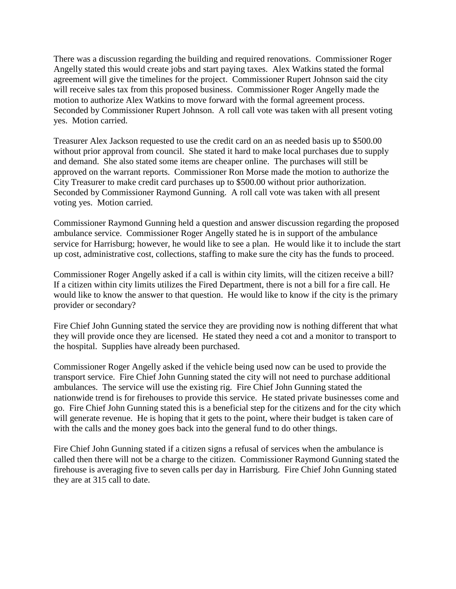There was a discussion regarding the building and required renovations. Commissioner Roger Angelly stated this would create jobs and start paying taxes. Alex Watkins stated the formal agreement will give the timelines for the project. Commissioner Rupert Johnson said the city will receive sales tax from this proposed business. Commissioner Roger Angelly made the motion to authorize Alex Watkins to move forward with the formal agreement process. Seconded by Commissioner Rupert Johnson. A roll call vote was taken with all present voting yes. Motion carried.

Treasurer Alex Jackson requested to use the credit card on an as needed basis up to \$500.00 without prior approval from council. She stated it hard to make local purchases due to supply and demand. She also stated some items are cheaper online. The purchases will still be approved on the warrant reports. Commissioner Ron Morse made the motion to authorize the City Treasurer to make credit card purchases up to \$500.00 without prior authorization. Seconded by Commissioner Raymond Gunning. A roll call vote was taken with all present voting yes. Motion carried.

Commissioner Raymond Gunning held a question and answer discussion regarding the proposed ambulance service. Commissioner Roger Angelly stated he is in support of the ambulance service for Harrisburg; however, he would like to see a plan. He would like it to include the start up cost, administrative cost, collections, staffing to make sure the city has the funds to proceed.

Commissioner Roger Angelly asked if a call is within city limits, will the citizen receive a bill? If a citizen within city limits utilizes the Fired Department, there is not a bill for a fire call. He would like to know the answer to that question. He would like to know if the city is the primary provider or secondary?

Fire Chief John Gunning stated the service they are providing now is nothing different that what they will provide once they are licensed. He stated they need a cot and a monitor to transport to the hospital. Supplies have already been purchased.

Commissioner Roger Angelly asked if the vehicle being used now can be used to provide the transport service. Fire Chief John Gunning stated the city will not need to purchase additional ambulances. The service will use the existing rig. Fire Chief John Gunning stated the nationwide trend is for firehouses to provide this service. He stated private businesses come and go. Fire Chief John Gunning stated this is a beneficial step for the citizens and for the city which will generate revenue. He is hoping that it gets to the point, where their budget is taken care of with the calls and the money goes back into the general fund to do other things.

Fire Chief John Gunning stated if a citizen signs a refusal of services when the ambulance is called then there will not be a charge to the citizen. Commissioner Raymond Gunning stated the firehouse is averaging five to seven calls per day in Harrisburg. Fire Chief John Gunning stated they are at 315 call to date.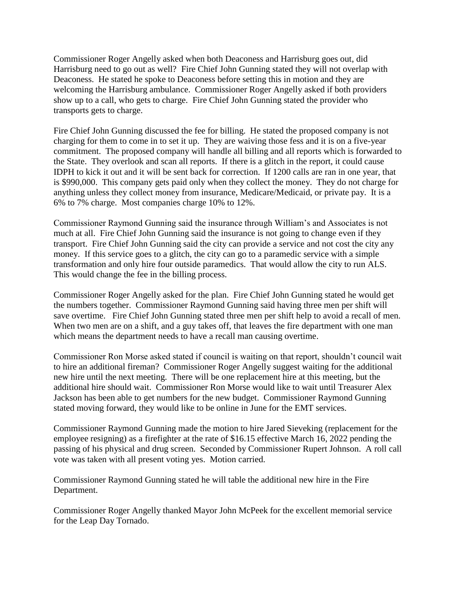Commissioner Roger Angelly asked when both Deaconess and Harrisburg goes out, did Harrisburg need to go out as well? Fire Chief John Gunning stated they will not overlap with Deaconess. He stated he spoke to Deaconess before setting this in motion and they are welcoming the Harrisburg ambulance. Commissioner Roger Angelly asked if both providers show up to a call, who gets to charge. Fire Chief John Gunning stated the provider who transports gets to charge.

Fire Chief John Gunning discussed the fee for billing. He stated the proposed company is not charging for them to come in to set it up. They are waiving those fess and it is on a five-year commitment. The proposed company will handle all billing and all reports which is forwarded to the State. They overlook and scan all reports. If there is a glitch in the report, it could cause IDPH to kick it out and it will be sent back for correction. If 1200 calls are ran in one year, that is \$990,000. This company gets paid only when they collect the money. They do not charge for anything unless they collect money from insurance, Medicare/Medicaid, or private pay. It is a 6% to 7% charge. Most companies charge 10% to 12%.

Commissioner Raymond Gunning said the insurance through William's and Associates is not much at all. Fire Chief John Gunning said the insurance is not going to change even if they transport. Fire Chief John Gunning said the city can provide a service and not cost the city any money. If this service goes to a glitch, the city can go to a paramedic service with a simple transformation and only hire four outside paramedics. That would allow the city to run ALS. This would change the fee in the billing process.

Commissioner Roger Angelly asked for the plan. Fire Chief John Gunning stated he would get the numbers together. Commissioner Raymond Gunning said having three men per shift will save overtime. Fire Chief John Gunning stated three men per shift help to avoid a recall of men. When two men are on a shift, and a guy takes off, that leaves the fire department with one man which means the department needs to have a recall man causing overtime.

Commissioner Ron Morse asked stated if council is waiting on that report, shouldn't council wait to hire an additional fireman? Commissioner Roger Angelly suggest waiting for the additional new hire until the next meeting. There will be one replacement hire at this meeting, but the additional hire should wait. Commissioner Ron Morse would like to wait until Treasurer Alex Jackson has been able to get numbers for the new budget. Commissioner Raymond Gunning stated moving forward, they would like to be online in June for the EMT services.

Commissioner Raymond Gunning made the motion to hire Jared Sieveking (replacement for the employee resigning) as a firefighter at the rate of \$16.15 effective March 16, 2022 pending the passing of his physical and drug screen. Seconded by Commissioner Rupert Johnson. A roll call vote was taken with all present voting yes. Motion carried.

Commissioner Raymond Gunning stated he will table the additional new hire in the Fire Department.

Commissioner Roger Angelly thanked Mayor John McPeek for the excellent memorial service for the Leap Day Tornado.